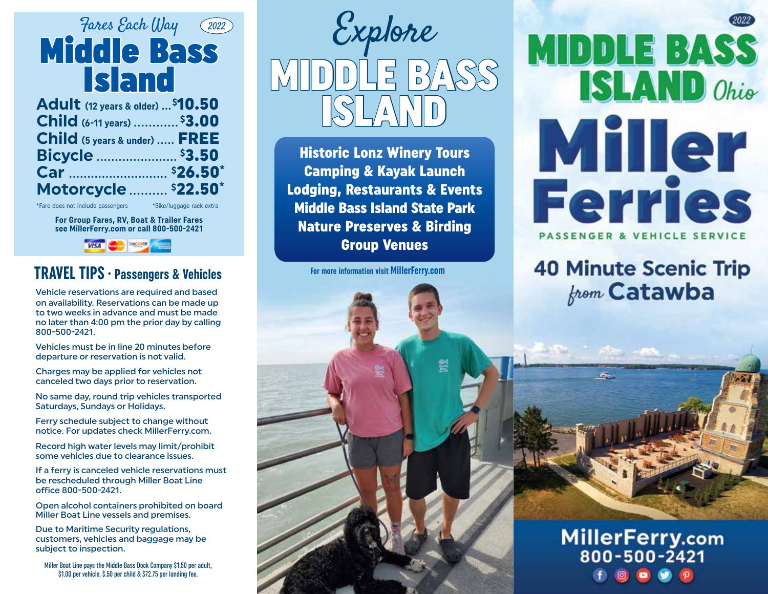

| Adult (12 years & older)  \$10.50     |  |
|---------------------------------------|--|
| Child (6-11 years) <sup>\$</sup> 3.00 |  |
| Child (5 years & under)  FREE         |  |
| Bicycle  \$3.50                       |  |
|                                       |  |
| Motorcycle  \$22.50*                  |  |

\*Fare does not include passengers \*Bike/luggage rack extra

**For Group Fares, RV, Boat & Trailer Fares see MillerFerry.com or call 800-500-2421**



### **TRAVEL TIPS• Passengers & Vehicles**

Vehicle reservations are required and based on availability. Reservations can be made up to two weeks in advance and must be made no later than 4:00 pm the prior day by calling 800-500-2421.

Vehicles must be in line 20 minutes before departure or reservation is not valid.

Charges may be applied for vehicles not canceled two days prior to reservation.

No same day, round trip vehicles transported Saturdays, Sundays or Holidays.

Ferry schedule subject to change without notice. For updates check MillerFerry.com.

Record high water levels may limit/prohibit some vehicles due to clearance issues.

If a ferry is canceled vehicle reservations must be rescheduled through Miller Boat Line office 800-500-2421.

Open alcohol containers prohibited on board Miller Boat Line vessels and premises.

Due to Maritime Security regulations, customers, vehicles and baggage may be subject to inspection.

Miller Boat Line pays the Middle Bass Dock Company \$1.50 per adult, \$1.00 per vehicle, \$.50 per child & \$72.75 per landing fee.



Historic Lonz Winery Tours Camping & Kayak Launch Lodging, Restaurants & Events Middle Bass Island State Park Nature Preserves & Birding Group Venues

**For more information visit MillerFerry.com**

# **MIDDLE BASS ISLAND** Ohio Miller **Ferries**

**PASSENGER & VEHICLE SERVICE** 

### **40 Minute Scenic Trip from Catawba**



### MillerFerry.com 800-500-2421 O  $\bullet$